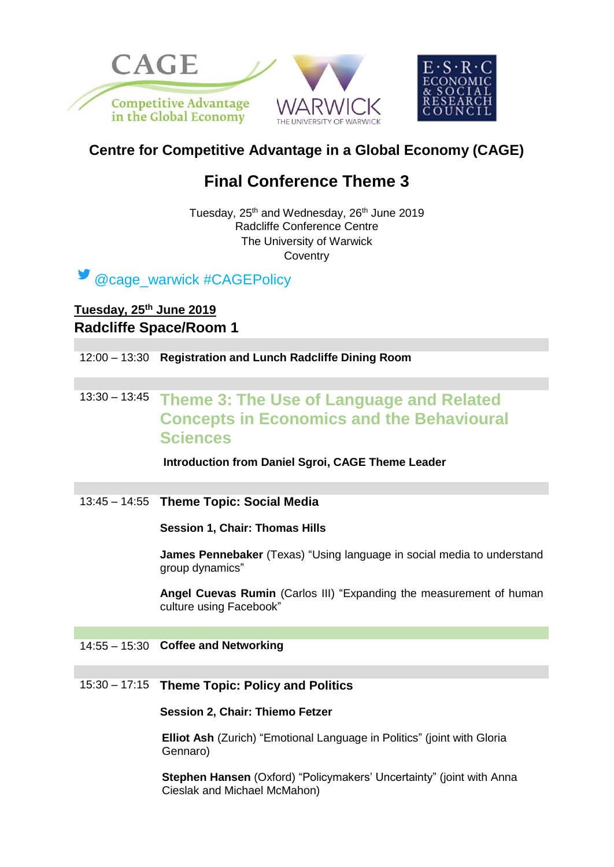

# **Centre for Competitive Advantage in a Global Economy (CAGE)**

# **Final Conference Theme 3**

Tuesday, 25<sup>th</sup> and Wednesday, 26<sup>th</sup> June 2019 Radcliffe Conference Centre The University of Warwick **Coventry** 

@cage\_warwick #CAGEPolicy

## **Tuesday, 25th June 2019 Radcliffe Space/Room 1**

12:00 – 13:30 **Registration and Lunch Radcliffe Dining Room** 

## 13:30 – 13:45 **Theme 3: The Use of Language and Related Concepts in Economics and the Behavioural Sciences**

**Introduction from Daniel Sgroi, CAGE Theme Leader**

13:45 – 14:55 **Theme Topic: Social Media**

**Session 1, Chair: Thomas Hills**

**James Pennebaker** (Texas) "Using language in social media to understand group dynamics"

**Angel Cuevas Rumin** (Carlos III) "Expanding the measurement of human culture using Facebook"

## 14:55 – 15:30 **Coffee and Networking**

### 15:30 – 17:15 **Theme Topic: Policy and Politics**

#### **Session 2, Chair: Thiemo Fetzer**

**Elliot Ash** (Zurich) "Emotional Language in Politics" (joint with Gloria Gennaro)

**Stephen Hansen** (Oxford) "Policymakers' Uncertainty" (joint with Anna Cieslak and Michael McMahon)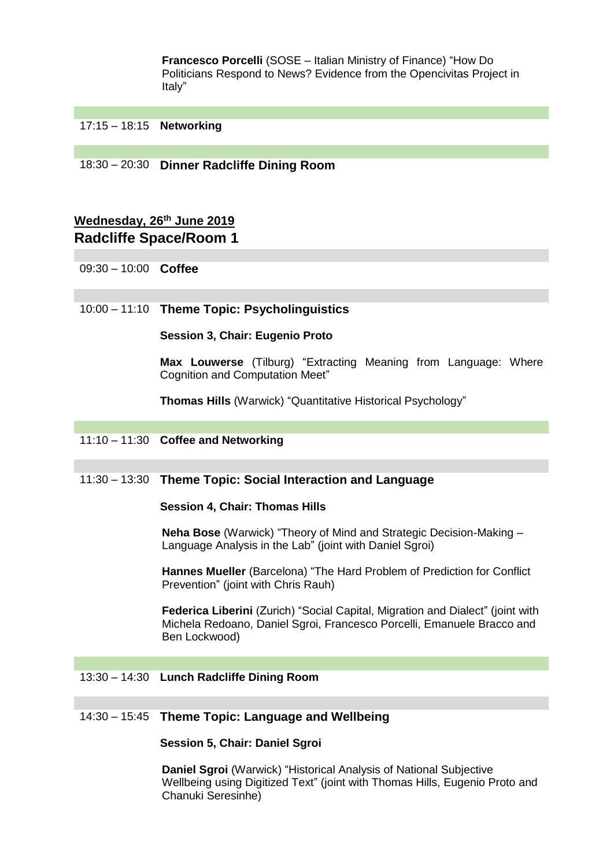**Francesco Porcelli** (SOSE – Italian Ministry of Finance) "How Do Politicians Respond to News? Evidence from the Opencivitas Project in Italy"

## 17:15 – 18:15 **Networking**

18:30 – 20:30 **Dinner Radcliffe Dining Room**

## **Wednesday, 26th June 2019 Radcliffe Space/Room 1**

09:30 – 10:00 **Coffee**

## 10:00 – 11:10 **Theme Topic: Psycholinguistics**

#### **Session 3, Chair: Eugenio Proto**

**Max Louwerse** (Tilburg) "Extracting Meaning from Language: Where Cognition and Computation Meet"

**Thomas Hills** (Warwick) "Quantitative Historical Psychology"

#### 11:10 – 11:30 **Coffee and Networking**

### 11:30 – 13:30 **Theme Topic: Social Interaction and Language**

#### **Session 4, Chair: Thomas Hills**

**Neha Bose** (Warwick) "Theory of Mind and Strategic Decision-Making – Language Analysis in the Lab" (joint with Daniel Sgroi)

**Hannes Mueller** (Barcelona) "The Hard Problem of Prediction for Conflict Prevention" (joint with Chris Rauh)

**Federica Liberini** (Zurich) "Social Capital, Migration and Dialect" (joint with Michela Redoano, Daniel Sgroi, Francesco Porcelli, Emanuele Bracco and Ben Lockwood)

#### 13:30 – 14:30 **Lunch Radcliffe Dining Room**

#### 14:30 – 15:45 **Theme Topic: Language and Wellbeing**

#### **Session 5, Chair: Daniel Sgroi**

**Daniel Sgroi** (Warwick) "Historical Analysis of National Subjective Wellbeing using Digitized Text" (joint with Thomas Hills, Eugenio Proto and Chanuki Seresinhe)